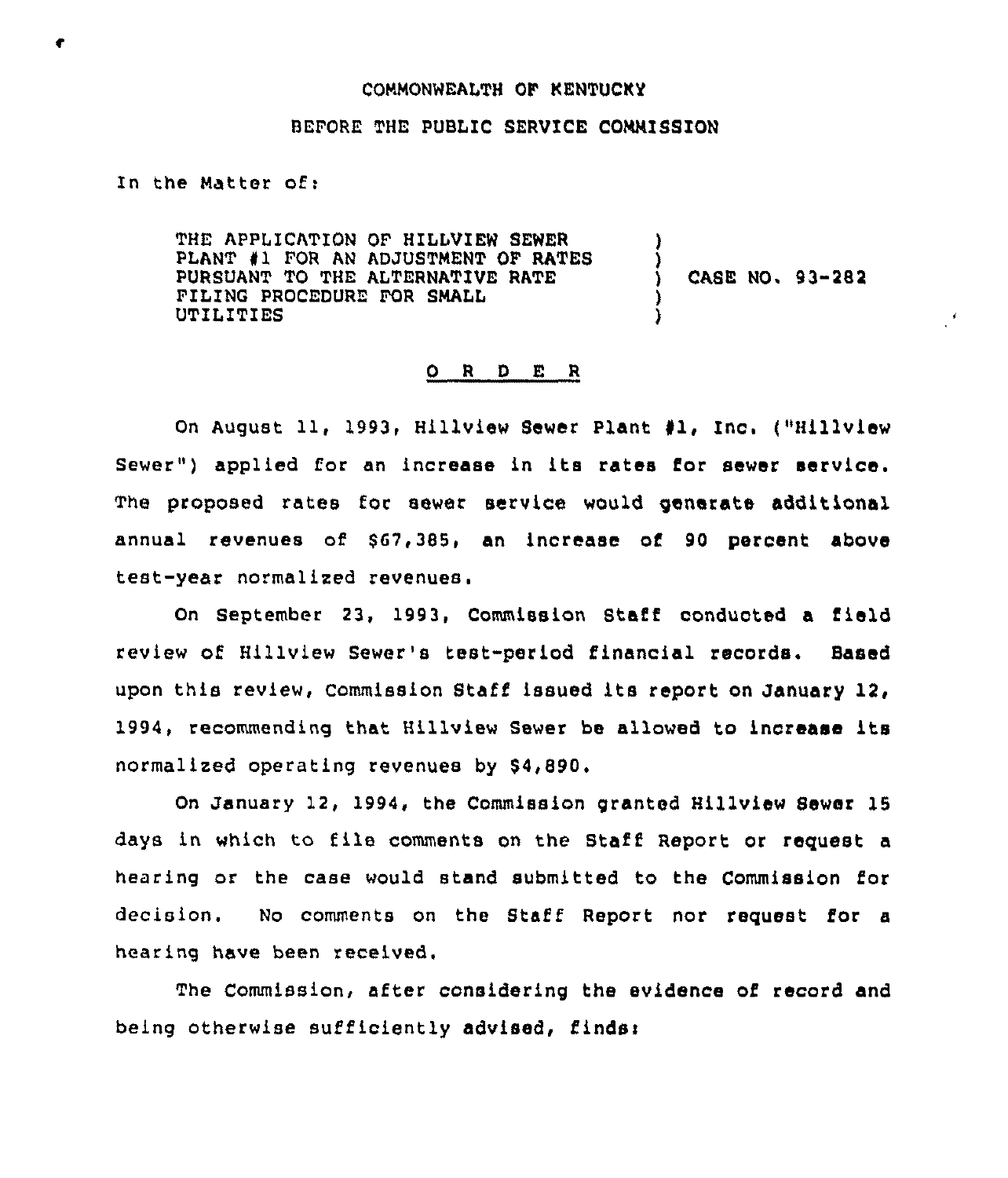#### COMMONWEALTH OF KENTUCKY

### BEFORE THE PUBLIC SERVICE COMMISSION

In the Matter of:

THE APPLICATION OF HILLVIEW SEWER PLANT 41 FOR AN ADJUSTMENT OF RATES PURSUANT TO THE ALTERNATIVE RATE FILING PROCEDURE FOR SMALL UTILITIES ) ) )

) CASE NO. 93-282

#### ORDER

On August 11, 1993, Hillview Sewer Plant #1, Inc. ("Hillview Sewer") applied for an increase in its rates for sewer service. The proposed rates for sewer service would generate additional annual revenues of \$67,385, an increase of 90 percent above test-year normalized revenues.

On September 23, 1993, Commission Staff conducted a field review of Hillview Sewer's test-period financial records. Baaed upon this review, Commission Staff issued its report on January 12, 1994, recommending that Hillview Sewer be allowed to increase its normalized operating revenues by \$4,890.

On January 12, 1994, the Commission granted Hillview Sewer 15 days in which to file comments on the Staff Report or request <sup>a</sup> hearing or the case would stand submitted to the Commission for decision. No comments on the Staff Report nor request for a hearing have been received,

The Commission, after considering the evidence of record and being otherwise sufficiently advised, finds: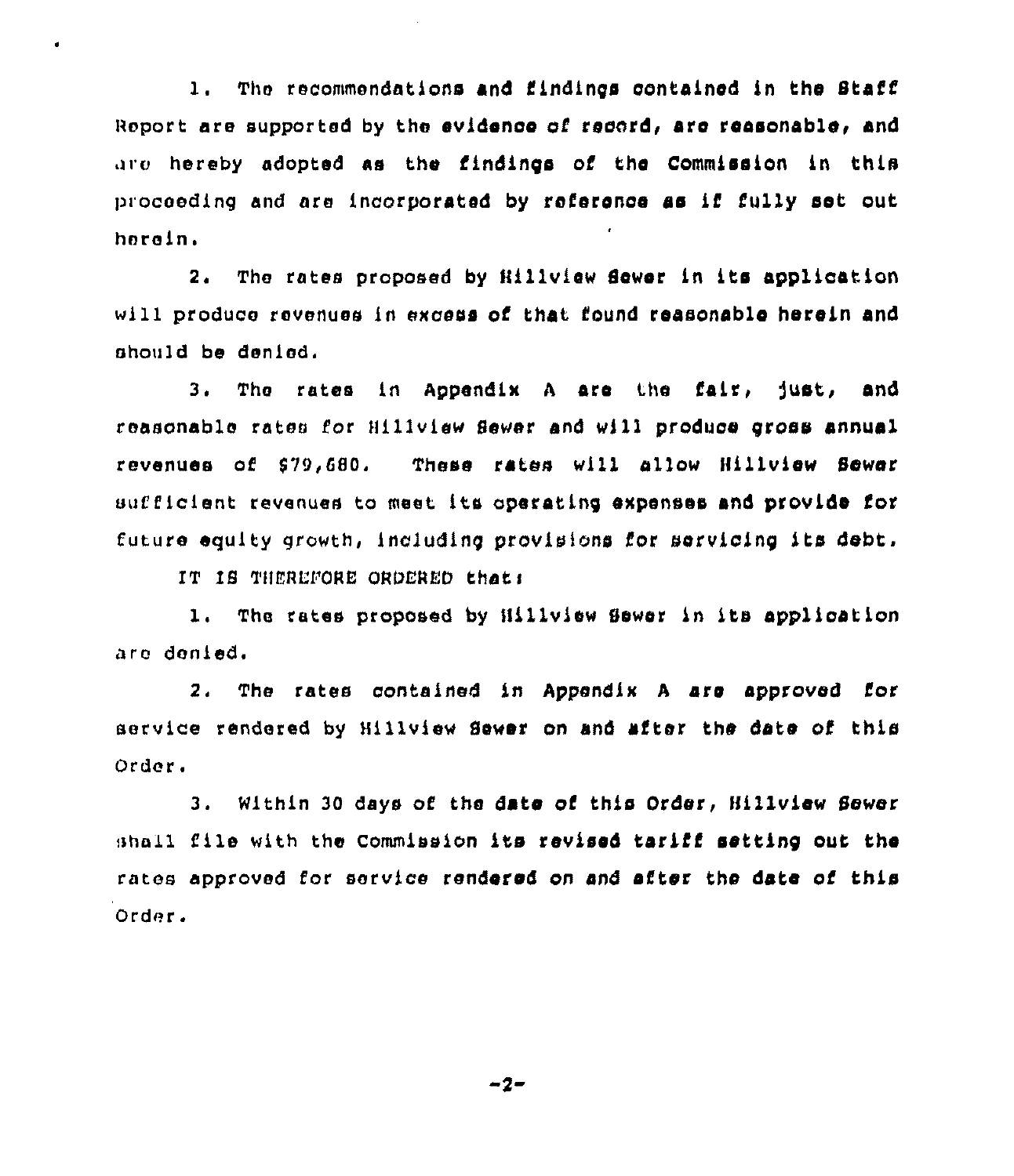1. The recommendations and findings contained in the Staff Report are supported by the evidence of record, are reasonable, and are hereby adopted as the findings of the Commission in this proceeding and are incorporated by reference as if fully set out herein.

 $2<sup>2</sup>$ The rates proposed by Hillview Sewer in its application will produce revenues in excess of that found reasonable herein and should be denied.

The rates in Appendix A are the fair, just, and 3. reasonable rates for Hillview Sewer and will produce gross annual revenues of \$79,680. These rates will allow Hillview Sewer sufficient revenues to meet its operating expenses and provide for future equity growth, including provisions for servicing its debt.

IT IS THEREFORE ORDERED that:

1. The rates proposed by Hillview Sewer in its application are denied.

2. The rates contained in Appendix A are approved for service rendered by Hillview Sewer on and after the date of this Order.

3. Within 30 days of the date of this Order, Hillview Sewer shall file with the Commission its revised tariff setting out the rates approved for service rendered on and after the date of this Order.

 $-2-$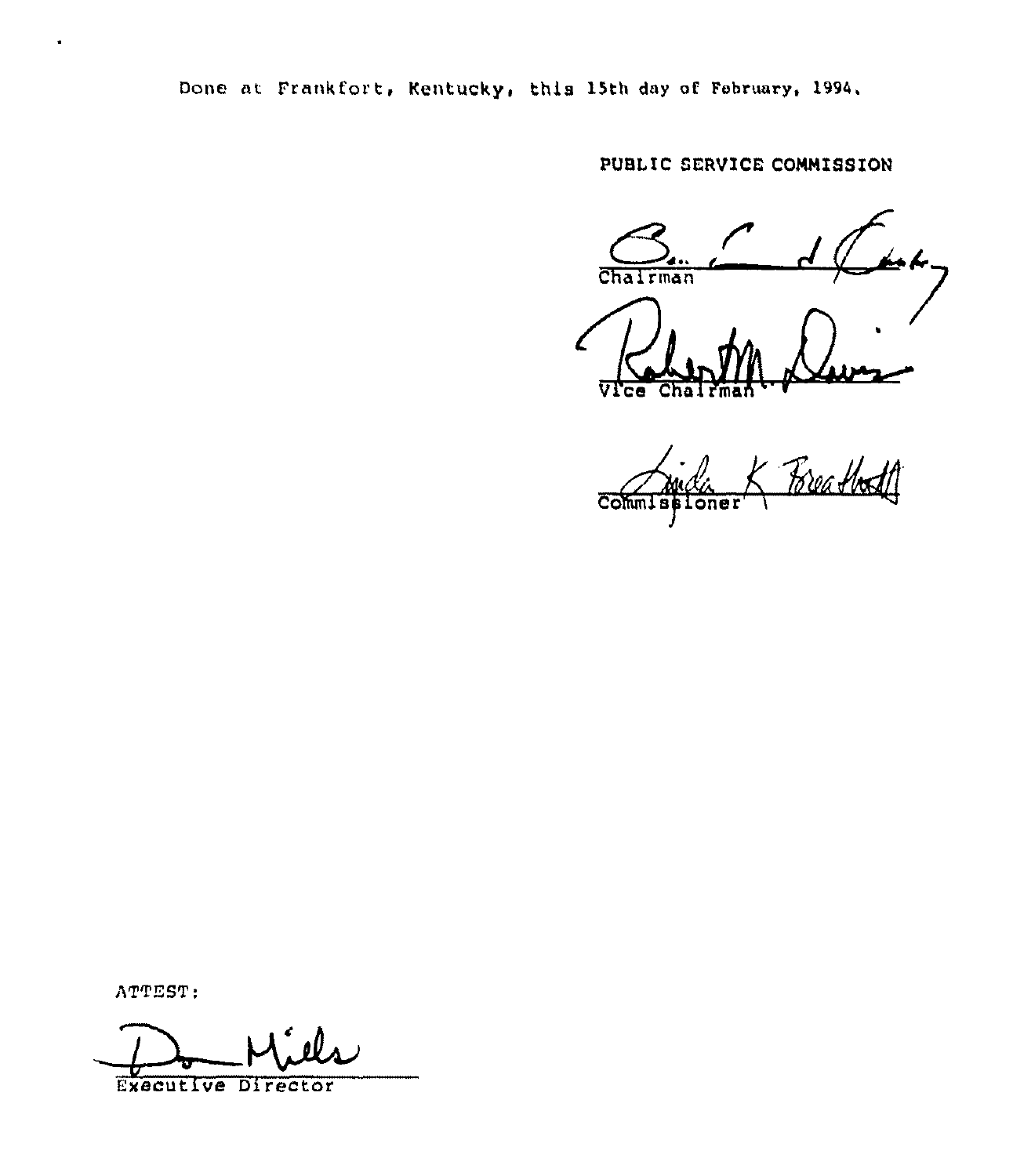Done at Frankfort, Kentucky, this 15th day of February, 1994.

PUBLIC SERVICE COMMISSION

Chairman

<u> Porathdil</u>  $\overline{\text{Comm}}$ oner

ATTEST:

 $\bullet$ 

**Executive Director**